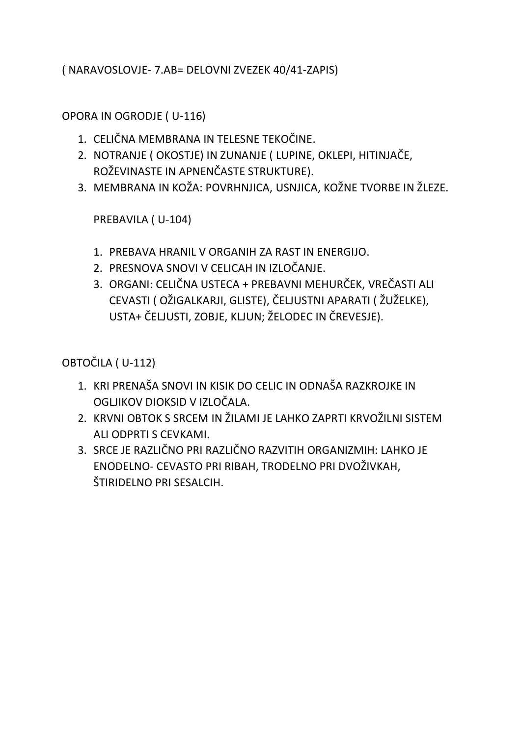( NARAVOSLOVJE- 7.AB= DELOVNI ZVEZEK 40/41-ZAPIS)

OPORA IN OGRODJE ( U-116)

- 1. CELIČNA MEMBRANA IN TELESNE TEKOČINE.
- 2. NOTRANJE ( OKOSTJE) IN ZUNANJE ( LUPINE, OKLEPI, HITINJAČE, ROŽEVINASTE IN APNENČASTE STRUKTURE).
- 3. MEMBRANA IN KOŽA: POVRHNJICA, USNJICA, KOŽNE TVORBE IN ŽLEZE.

PREBAVILA ( U-104)

- 1. PREBAVA HRANIL V ORGANIH ZA RAST IN ENERGIJO.
- 2. PRESNOVA SNOVI V CELICAH IN IZLOČANJE.
- 3. ORGANI: CELIČNA USTECA + PREBAVNI MEHURČEK, VREČASTI ALI CEVASTI ( OŽIGALKARJI, GLISTE), ČELJUSTNI APARATI ( ŽUŽELKE), USTA+ ČELJUSTI, ZOBJE, KLJUN; ŽELODEC IN ČREVESJE).

OBTOČILA ( U-112)

- 1. KRI PRENAŠA SNOVI IN KISIK DO CELIC IN ODNAŠA RAZKROJKE IN OGLJIKOV DIOKSID V IZLOČALA.
- 2. KRVNI OBTOK S SRCEM IN ŽILAMI JE LAHKO ZAPRTI KRVOŽILNI SISTEM ALI ODPRTI S CEVKAMI.
- 3. SRCE JE RAZLIČNO PRI RAZLIČNO RAZVITIH ORGANIZMIH: LAHKO JE ENODELNO- CEVASTO PRI RIBAH, TRODELNO PRI DVOŽIVKAH, ŠTIRIDELNO PRI SESALCIH.